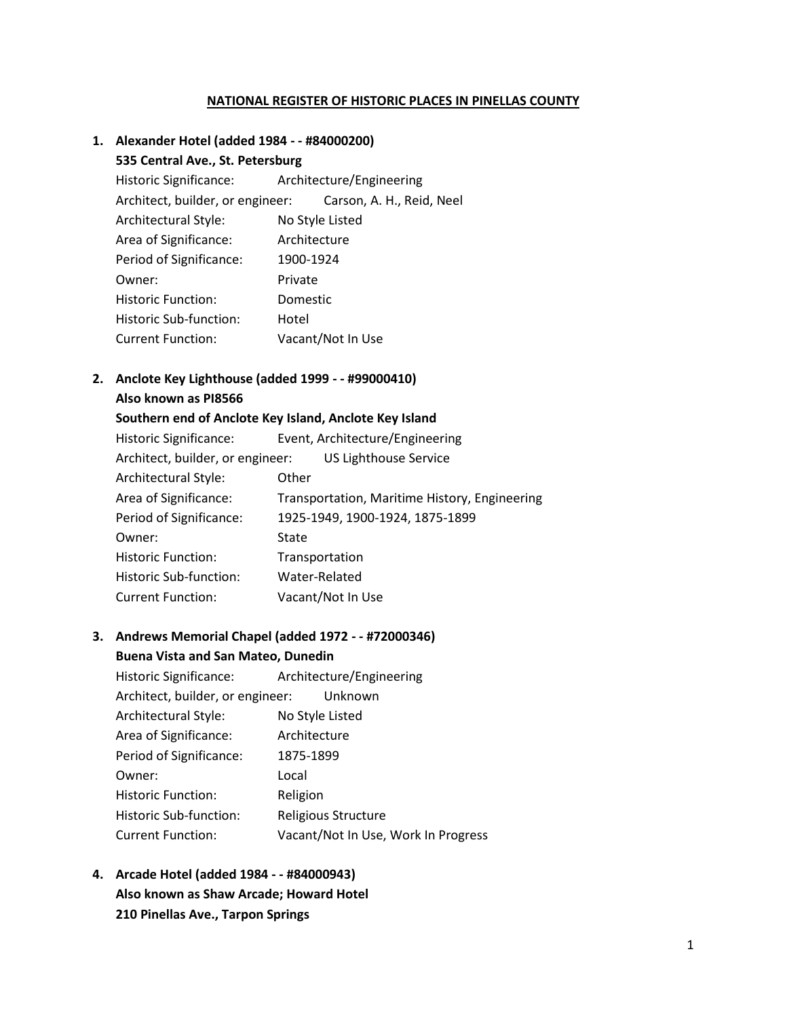#### **NATIONAL REGISTER OF HISTORIC PLACES IN PINELLAS COUNTY**

## **1. Alexander Hotel (added 1984 - - #84000200) 535 Central Ave., St. Petersburg** Historic Significance: Architecture/Engineering Architect, builder, or engineer: Carson, A. H., Reid, Neel Architectural Style: No Style Listed Area of Significance: Architecture Period of Significance: 1900-1924 Owner: Private Historic Function: Domestic Historic Sub-function: Hotel Current Function: Vacant/Not In Use

#### **2. Anclote Key Lighthouse (added 1999 - - #99000410) Also known as PI8566**

| Southern end of Anclote Key Island, Anclote Key Island |                                               |  |
|--------------------------------------------------------|-----------------------------------------------|--|
| Historic Significance:                                 | Event, Architecture/Engineering               |  |
| Architect, builder, or engineer:                       | <b>US Lighthouse Service</b>                  |  |
| Architectural Style:                                   | Other                                         |  |
| Area of Significance:                                  | Transportation, Maritime History, Engineering |  |
| Period of Significance:                                | 1925-1949, 1900-1924, 1875-1899               |  |
| Owner:                                                 | <b>State</b>                                  |  |
| <b>Historic Function:</b>                              | Transportation                                |  |
| Historic Sub-function:                                 | Water-Related                                 |  |
| <b>Current Function:</b>                               | Vacant/Not In Use                             |  |

#### **3. Andrews Memorial Chapel (added 1972 - - #72000346) Buena Vista and San Mateo, Dunedin**

Historic Significance: Architecture/Engineering Architect, builder, or engineer: Unknown Architectural Style: No Style Listed Area of Significance: Architecture Period of Significance: 1875-1899 Owner: Local Historic Function: Religion Historic Sub-function: Religious Structure Current Function: Vacant/Not In Use, Work In Progress

**4. Arcade Hotel (added 1984 - - #84000943) Also known as Shaw Arcade; Howard Hotel 210 Pinellas Ave., Tarpon Springs**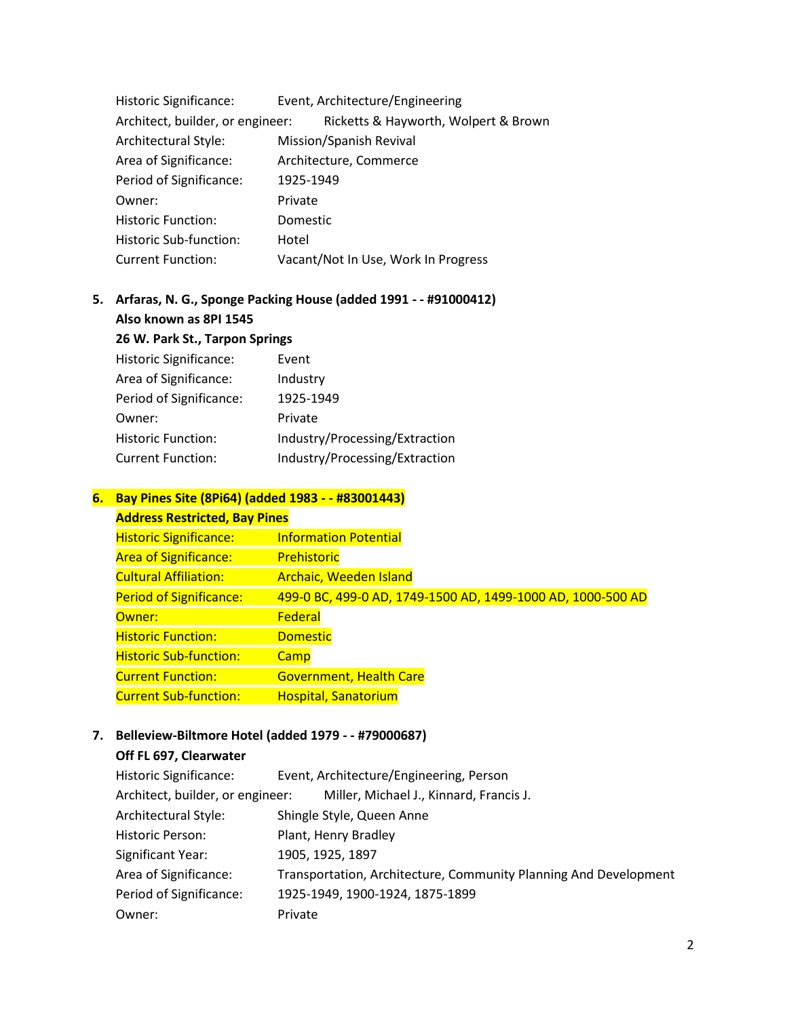| Historic Significance:           | Event, Architecture/Engineering      |
|----------------------------------|--------------------------------------|
| Architect, builder, or engineer: | Ricketts & Hayworth, Wolpert & Brown |
| Architectural Style:             | Mission/Spanish Revival              |
| Area of Significance:            | Architecture, Commerce               |
| Period of Significance:          | 1925-1949                            |
| Owner:                           | Private                              |
| <b>Historic Function:</b>        | Domestic                             |
| Historic Sub-function:           | Hotel                                |
| <b>Current Function:</b>         | Vacant/Not In Use, Work In Progress  |

## **5. Arfaras, N. G., Sponge Packing House (added 1991 - - #91000412) Also known as 8PI 1545**

**26 W. Park St., Tarpon Springs**

| <b>Historic Significance:</b> | Event                          |
|-------------------------------|--------------------------------|
| Area of Significance:         | Industry                       |
| Period of Significance:       | 1925-1949                      |
| Owner:                        | Private                        |
| <b>Historic Function:</b>     | Industry/Processing/Extraction |
| <b>Current Function:</b>      | Industry/Processing/Extraction |

## **6. Bay Pines Site (8Pi64) (added 1983 - - #83001443)**

| <b>Address Restricted, Bay Pines</b> |                                                             |
|--------------------------------------|-------------------------------------------------------------|
| <b>Historic Significance:</b>        | <b>Information Potential</b>                                |
| <b>Area of Significance:</b>         | Prehistoric                                                 |
| <b>Cultural Affiliation:</b>         | <b>Archaic, Weeden Island</b>                               |
| <b>Period of Significance:</b>       | 499-0 BC, 499-0 AD, 1749-1500 AD, 1499-1000 AD, 1000-500 AD |
| Owner:                               | Federal                                                     |
| <b>Historic Function:</b>            | <b>Domestic</b>                                             |
| <b>Historic Sub-function:</b>        | Camp                                                        |
| <b>Current Function:</b>             | <b>Government, Health Care</b>                              |
| <b>Current Sub-function:</b>         | <b>Hospital, Sanatorium</b>                                 |

## **7. Belleview-Biltmore Hotel (added 1979 - - #79000687)**

#### **Off FL 697, Clearwater**

| Historic Significance:           | Event, Architecture/Engineering, Person                          |
|----------------------------------|------------------------------------------------------------------|
| Architect, builder, or engineer: | Miller, Michael J., Kinnard, Francis J.                          |
| Architectural Style:             | Shingle Style, Queen Anne                                        |
| Historic Person:                 | Plant, Henry Bradley                                             |
| Significant Year:                | 1905, 1925, 1897                                                 |
| Area of Significance:            | Transportation, Architecture, Community Planning And Development |
| Period of Significance:          | 1925-1949, 1900-1924, 1875-1899                                  |
| Owner:                           | Private                                                          |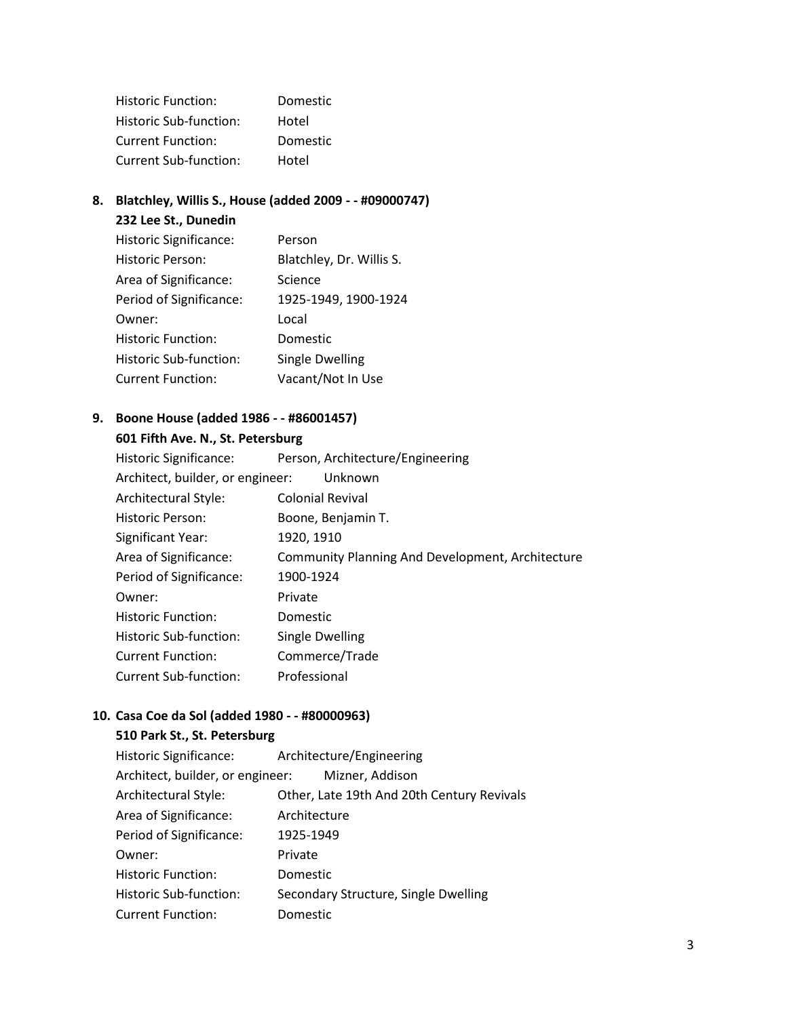| <b>Historic Function:</b> | <b>Domestic</b> |
|---------------------------|-----------------|
| Historic Sub-function:    | Hotel           |
| <b>Current Function:</b>  | <b>Domestic</b> |
| Current Sub-function:     | Hotel           |

## **8. Blatchley, Willis S., House (added 2009 - - #09000747)**

#### **232 Lee St., Dunedin**

| <b>Historic Significance:</b> | Person                   |
|-------------------------------|--------------------------|
| Historic Person:              | Blatchley, Dr. Willis S. |
| Area of Significance:         | Science                  |
| Period of Significance:       | 1925-1949, 1900-1924     |
| Owner:                        | Local                    |
| <b>Historic Function:</b>     | Domestic                 |
| Historic Sub-function:        | <b>Single Dwelling</b>   |
| <b>Current Function:</b>      | Vacant/Not In Use        |

## **9. Boone House (added 1986 - - #86001457)**

#### **601 Fifth Ave. N., St. Petersburg**

| Architect, builder, or engineer:<br>Unknown             |
|---------------------------------------------------------|
| <b>Colonial Revival</b>                                 |
| Boone, Benjamin T.                                      |
| 1920, 1910                                              |
| <b>Community Planning And Development, Architecture</b> |
| 1900-1924                                               |
| Private                                                 |
| <b>Domestic</b>                                         |
| Single Dwelling                                         |
| Commerce/Trade                                          |
| Professional                                            |
|                                                         |

## **10. Casa Coe da Sol (added 1980 - - #80000963)**

#### **510 Park St., St. Petersburg**

| Historic Significance:           | Architecture/Engineering                   |
|----------------------------------|--------------------------------------------|
| Architect, builder, or engineer: | Mizner, Addison                            |
| Architectural Style:             | Other, Late 19th And 20th Century Revivals |
| Area of Significance:            | Architecture                               |
| Period of Significance:          | 1925-1949                                  |
| Owner:                           | Private                                    |
| <b>Historic Function:</b>        | Domestic                                   |
| Historic Sub-function:           | Secondary Structure, Single Dwelling       |
| <b>Current Function:</b>         | Domestic                                   |
|                                  |                                            |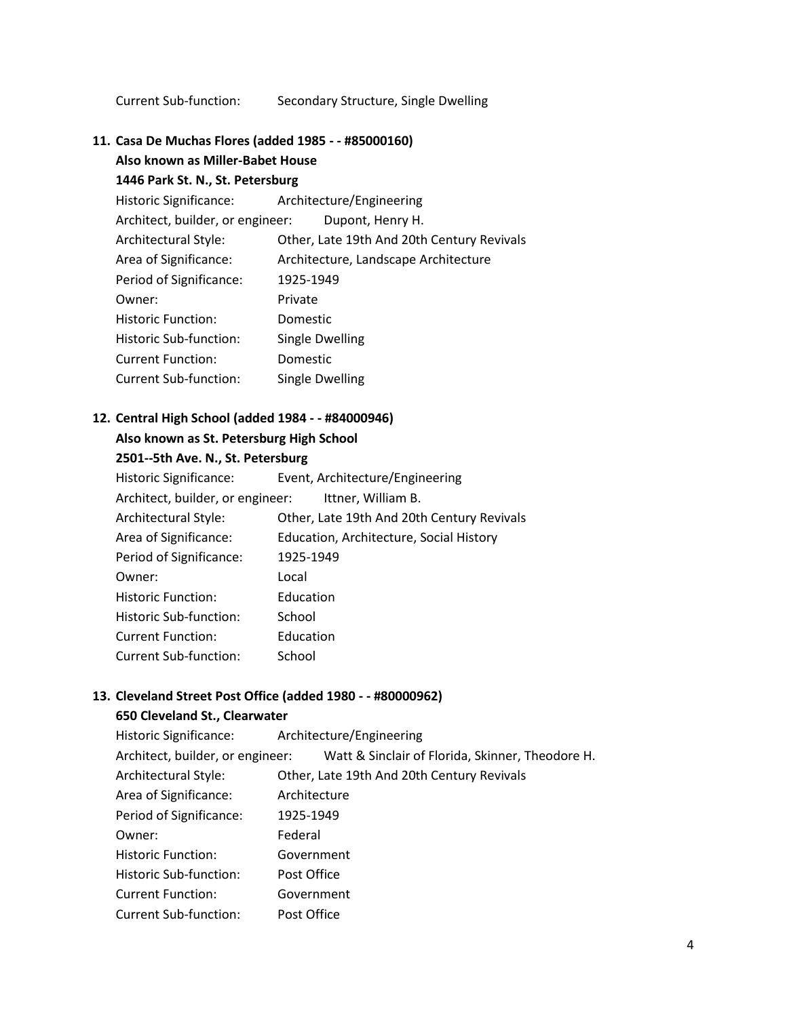Current Sub-function: Secondary Structure, Single Dwelling

**11. Casa De Muchas Flores (added 1985 - - #85000160)** 

**Also known as Miller-Babet House** 

#### **1446 Park St. N., St. Petersburg**

| Historic Significance: Architecture/Engineering |                                            |
|-------------------------------------------------|--------------------------------------------|
| Architect, builder, or engineer:                | Dupont, Henry H.                           |
| Architectural Style:                            | Other, Late 19th And 20th Century Revivals |
| Area of Significance:                           | Architecture, Landscape Architecture       |
| Period of Significance:                         | 1925-1949                                  |
| Owner:                                          | Private                                    |
| <b>Historic Function:</b>                       | <b>Domestic</b>                            |
| Historic Sub-function:                          | Single Dwelling                            |
| <b>Current Function:</b>                        | Domestic                                   |
| <b>Current Sub-function:</b>                    | <b>Single Dwelling</b>                     |

## **12. Central High School (added 1984 - - #84000946)**

#### **Also known as St. Petersburg High School**

## **2501--5th Ave. N., St. Petersburg**

| <b>Historic Significance:</b>    | Event, Architecture/Engineering            |
|----------------------------------|--------------------------------------------|
| Architect, builder, or engineer: | Ittner, William B.                         |
| Architectural Style:             | Other, Late 19th And 20th Century Revivals |
| Area of Significance:            | Education, Architecture, Social History    |
| Period of Significance:          | 1925-1949                                  |
| Owner:                           | Local                                      |
| <b>Historic Function:</b>        | Education                                  |
| Historic Sub-function:           | School                                     |
| <b>Current Function:</b>         | Education                                  |
| <b>Current Sub-function:</b>     | School                                     |
|                                  |                                            |

#### **13. Cleveland Street Post Office (added 1980 - - #80000962)**

# **650 Cleveland St., Clearwater**

| Historic Significance: Architecture/Engineering |                                                  |
|-------------------------------------------------|--------------------------------------------------|
| Architect, builder, or engineer:                | Watt & Sinclair of Florida, Skinner, Theodore H. |
| Architectural Style:                            | Other, Late 19th And 20th Century Revivals       |
| Area of Significance:                           | Architecture                                     |
| Period of Significance:                         | 1925-1949                                        |
| Owner:                                          | Federal                                          |
| <b>Historic Function:</b>                       | Government                                       |
| Historic Sub-function:                          | Post Office                                      |
| <b>Current Function:</b>                        | Government                                       |
| <b>Current Sub-function:</b>                    | Post Office                                      |
|                                                 |                                                  |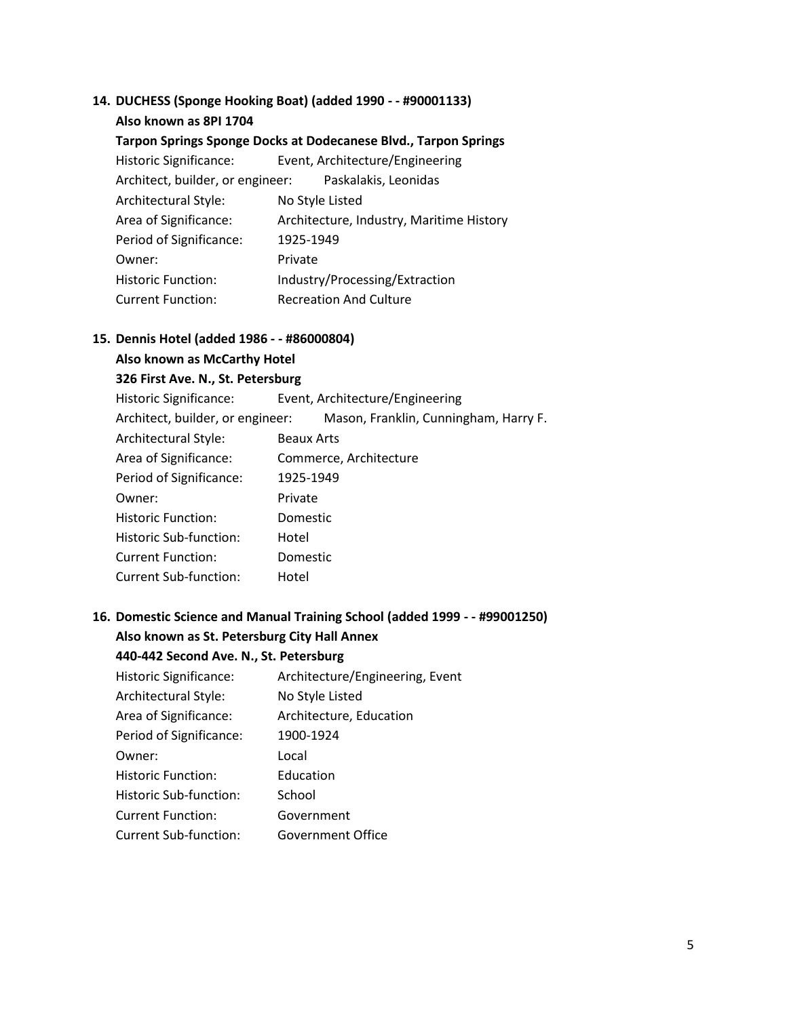## **14. DUCHESS (Sponge Hooking Boat) (added 1990 - - #90001133)**

## **Also known as 8PI 1704 Tarpon Springs Sponge Docks at Dodecanese Blvd., Tarpon Springs** Historic Significance: Event, Architecture/Engineering Architect, builder, or engineer: Paskalakis, Leonidas Architectural Style: No Style Listed Area of Significance: Architecture, Industry, Maritime History Period of Significance: 1925-1949 Owner: Private Historic Function: Industry/Processing/Extraction Current Function: Recreation And Culture

#### **15. Dennis Hotel (added 1986 - - #86000804)**

## **Also known as McCarthy Hotel 326 First Ave. N., St. Petersburg** Historic Significance: Event, Architecture/Engineering Architect, builder, or engineer: Mason, Franklin, Cunningham, Harry F. Architectural Style: Beaux Arts Area of Significance: Commerce, Architecture Period of Significance: 1925-1949 Owner: Private Historic Function: Domestic Historic Sub-function: Hotel Current Function: Domestic Current Sub-function: Hotel

#### **16. Domestic Science and Manual Training School (added 1999 - - #99001250)**

**Also known as St. Petersburg City Hall Annex** 

#### **440-442 Second Ave. N., St. Petersburg**

| <b>Historic Significance:</b> | Architecture/Engineering, Event |
|-------------------------------|---------------------------------|
| Architectural Style:          | No Style Listed                 |
| Area of Significance:         | Architecture, Education         |
| Period of Significance:       | 1900-1924                       |
| Owner:                        | Local                           |
| <b>Historic Function:</b>     | Education                       |
| Historic Sub-function:        | School                          |
| <b>Current Function:</b>      | Government                      |
| <b>Current Sub-function:</b>  | Government Office               |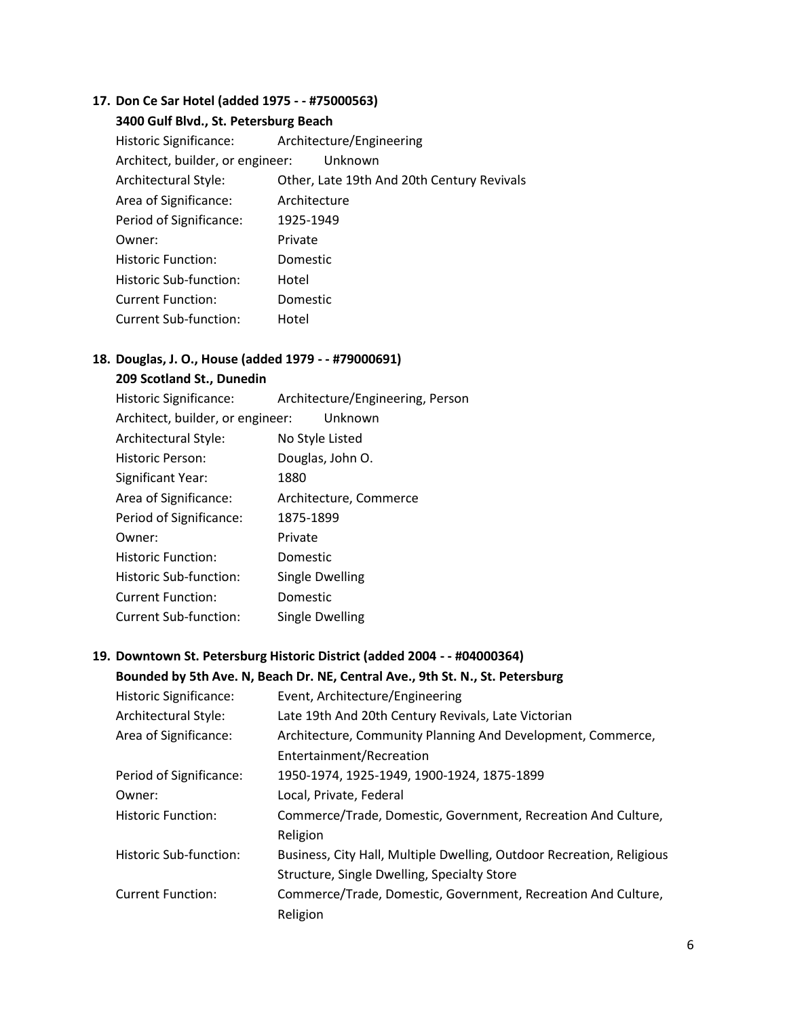## **17. Don Ce Sar Hotel (added 1975 - - #75000563)**

| 3400 Gulf Blvd., St. Petersburg Beach           |                                            |  |
|-------------------------------------------------|--------------------------------------------|--|
| Historic Significance: Architecture/Engineering |                                            |  |
| Architect, builder, or engineer:<br>Unknown     |                                            |  |
| Architectural Style:                            | Other, Late 19th And 20th Century Revivals |  |
| Area of Significance:                           | Architecture                               |  |
| Period of Significance:                         | 1925-1949                                  |  |
| Owner:                                          | Private                                    |  |
| <b>Historic Function:</b>                       | Domestic                                   |  |
| Historic Sub-function:                          | Hotel                                      |  |
| <b>Current Function:</b>                        | Domestic                                   |  |
| Current Sub-function:                           | Hotel                                      |  |

## **18. Douglas, J. O., House (added 1979 - - #79000691)**

### **209 Scotland St., Dunedin**

| Historic Significance:           | Architecture/Engineering, Person |
|----------------------------------|----------------------------------|
| Architect, builder, or engineer: | Unknown                          |
| Architectural Style:             | No Style Listed                  |
| Historic Person:                 | Douglas, John O.                 |
| Significant Year:                | 1880                             |
| Area of Significance:            | Architecture, Commerce           |
| Period of Significance:          | 1875-1899                        |
| Owner:                           | Private                          |
| <b>Historic Function:</b>        | Domestic                         |
| Historic Sub-function:           | <b>Single Dwelling</b>           |
| <b>Current Function:</b>         | Domestic                         |
| <b>Current Sub-function:</b>     | Single Dwelling                  |
|                                  |                                  |

#### **19. Downtown St. Petersburg Historic District (added 2004 - - #04000364)**

#### **Bounded by 5th Ave. N, Beach Dr. NE, Central Ave., 9th St. N., St. Petersburg**

| <b>Historic Significance:</b> | Event, Architecture/Engineering                                       |
|-------------------------------|-----------------------------------------------------------------------|
| Architectural Style:          | Late 19th And 20th Century Revivals, Late Victorian                   |
| Area of Significance:         | Architecture, Community Planning And Development, Commerce,           |
|                               | Entertainment/Recreation                                              |
| Period of Significance:       | 1950-1974, 1925-1949, 1900-1924, 1875-1899                            |
| Owner:                        | Local, Private, Federal                                               |
| <b>Historic Function:</b>     | Commerce/Trade, Domestic, Government, Recreation And Culture,         |
|                               | Religion                                                              |
| Historic Sub-function:        | Business, City Hall, Multiple Dwelling, Outdoor Recreation, Religious |
|                               | Structure, Single Dwelling, Specialty Store                           |
| <b>Current Function:</b>      | Commerce/Trade, Domestic, Government, Recreation And Culture,         |
|                               | Religion                                                              |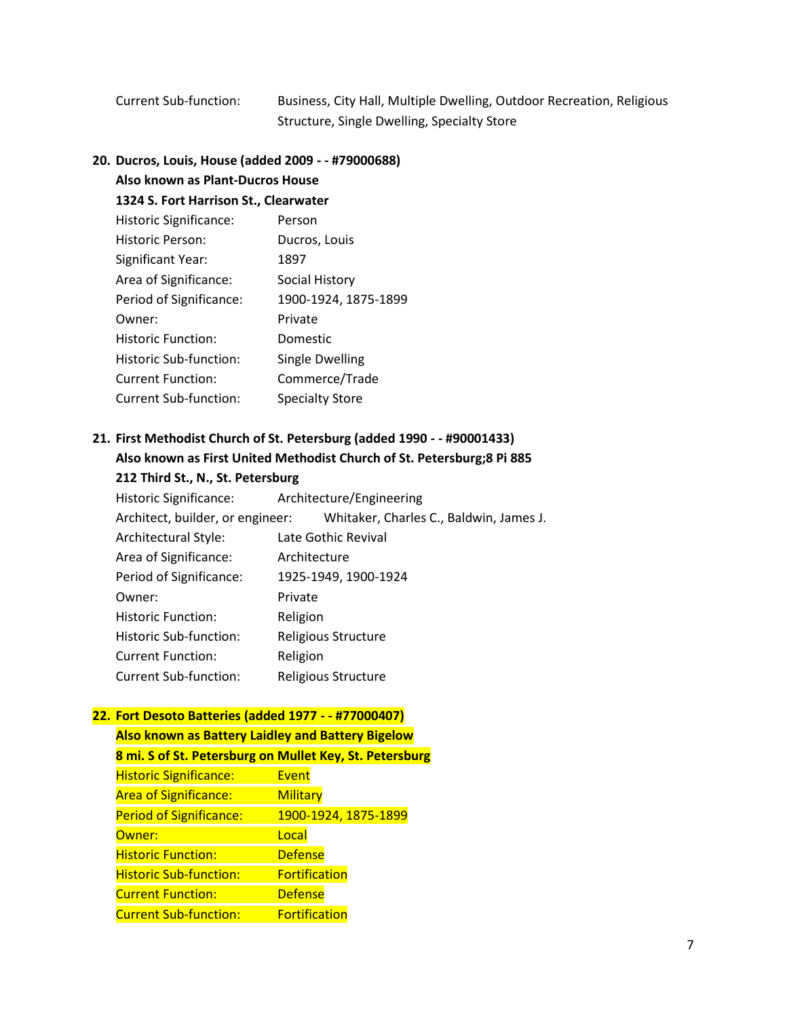Current Sub-function: Business, City Hall, Multiple Dwelling, Outdoor Recreation, Religious Structure, Single Dwelling, Specialty Store

#### **20. Ducros, Louis, House (added 2009 - - #79000688)**

**Also known as Plant-Ducros House** 

| 1324 S. Fort Harrison St., Clearwater |                        |  |
|---------------------------------------|------------------------|--|
| Historic Significance:                | Person                 |  |
| Historic Person:                      | Ducros, Louis          |  |
| Significant Year:                     | 1897                   |  |
| Area of Significance:                 | Social History         |  |
| Period of Significance:               | 1900-1924, 1875-1899   |  |
| Owner:                                | Private                |  |
| Historic Function:                    | Domestic               |  |
| Historic Sub-function:                | <b>Single Dwelling</b> |  |
| <b>Current Function:</b>              | Commerce/Trade         |  |
| <b>Current Sub-function:</b>          | <b>Specialty Store</b> |  |

## **21. First Methodist Church of St. Petersburg (added 1990 - - #90001433) Also known as First United Methodist Church of St. Petersburg;8 Pi 885**

|  |  |  |  |  | 212 Third St., N., St. Petersburg |
|--|--|--|--|--|-----------------------------------|
|--|--|--|--|--|-----------------------------------|

Historic Significance: Architecture/Engineering Architect, builder, or engineer: Whitaker, Charles C., Baldwin, James J. Architectural Style: Late Gothic Revival Area of Significance: Architecture Period of Significance: 1925-1949, 1900-1924 Owner: Private Historic Function: Religion Historic Sub-function: Religious Structure Current Function: Religion Current Sub-function: Religious Structure

#### **22. Fort Desoto Batteries (added 1977 - - #77000407)**

**Also known as Battery Laidley and Battery Bigelow 8 mi. S of St. Petersburg on Mullet Key, St. Petersburg** Historic Significance: Event Area of Significance: Military Period of Significance: 1900-1924, 1875-1899 Owner: New York Local **Historic Function: Communist Contract** Defense Historic Sub-function: Fortification **Current Function: Current Function:** Current Sub-function: Fortification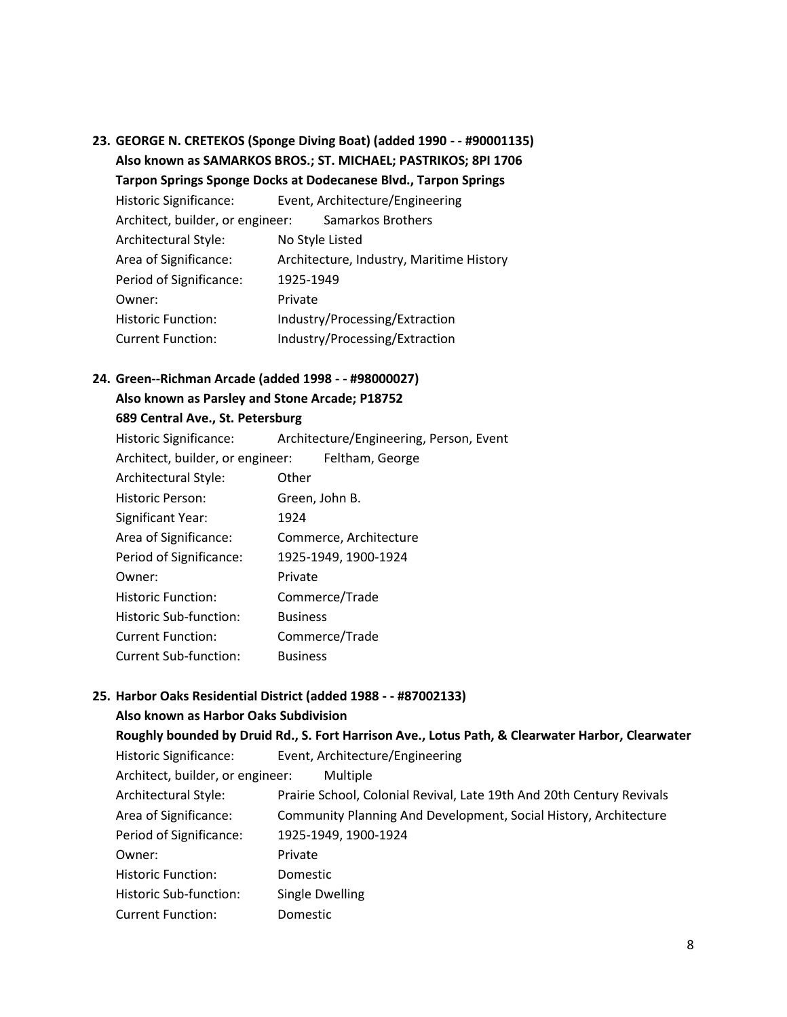**23. GEORGE N. CRETEKOS (Sponge Diving Boat) (added 1990 - - #90001135) Also known as SAMARKOS BROS.; ST. MICHAEL; PASTRIKOS; 8PI 1706** 

**Tarpon Springs Sponge Docks at Dodecanese Blvd., Tarpon Springs**

| <b>Historic Significance:</b>    | Event, Architecture/Engineering          |  |
|----------------------------------|------------------------------------------|--|
| Architect, builder, or engineer: | Samarkos Brothers                        |  |
| Architectural Style:             | No Style Listed                          |  |
| Area of Significance:            | Architecture, Industry, Maritime History |  |
| Period of Significance:          | 1925-1949                                |  |
| Owner:                           | Private                                  |  |
| <b>Historic Function:</b>        | Industry/Processing/Extraction           |  |
| <b>Current Function:</b>         | Industry/Processing/Extraction           |  |

#### **24. Green--Richman Arcade (added 1998 - - #98000027)**

**Also known as Parsley and Stone Arcade; P18752** 

#### **689 Central Ave., St. Petersburg**

| <b>Historic Significance:</b>                    | Architecture/Engineering, Person, Event |
|--------------------------------------------------|-----------------------------------------|
| Architect, builder, or engineer: Feltham, George |                                         |
| Architectural Style:                             | Other                                   |
| <b>Historic Person:</b>                          | Green, John B.                          |
| Significant Year:                                | 1924                                    |
| Area of Significance:                            | Commerce, Architecture                  |
| Period of Significance:                          | 1925-1949, 1900-1924                    |
| Owner:                                           | Private                                 |
| <b>Historic Function:</b>                        | Commerce/Trade                          |
| Historic Sub-function:                           | <b>Business</b>                         |
| <b>Current Function:</b>                         | Commerce/Trade                          |
| Current Sub-function:                            | <b>Business</b>                         |

#### **25. Harbor Oaks Residential District (added 1988 - - #87002133)**

#### **Also known as Harbor Oaks Subdivision**

**Roughly bounded by Druid Rd., S. Fort Harrison Ave., Lotus Path, & Clearwater Harbor, Clearwater**

Historic Significance: Event, Architecture/Engineering Architect, builder, or engineer: Multiple Architectural Style: Prairie School, Colonial Revival, Late 19th And 20th Century Revivals Area of Significance: Community Planning And Development, Social History, Architecture Period of Significance: 1925-1949, 1900-1924 Owner: Private Historic Function: Domestic Historic Sub-function: Single Dwelling Current Function: Domestic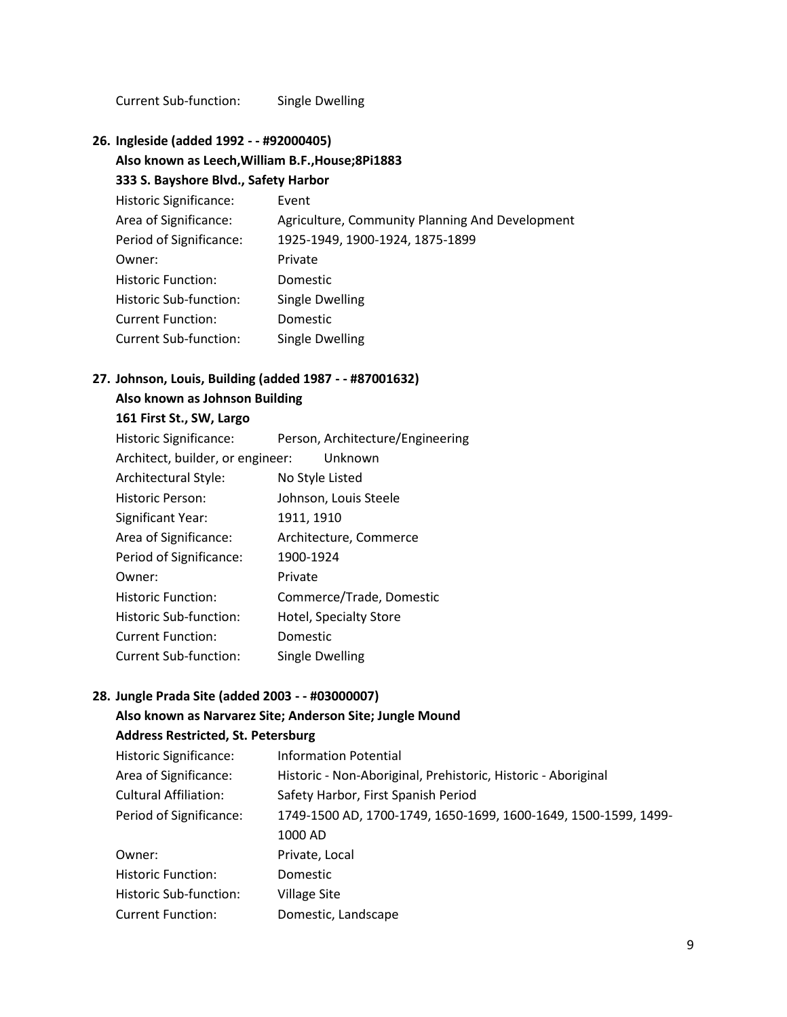Current Sub-function: Single Dwelling

**26. Ingleside (added 1992 - - #92000405)** 

#### **Also known as Leech,William B.F.,House;8Pi1883**

**333 S. Bayshore Blvd., Safety Harbor**

| <b>Historic Significance:</b> | Event                                           |
|-------------------------------|-------------------------------------------------|
| Area of Significance:         | Agriculture, Community Planning And Development |
| Period of Significance:       | 1925-1949, 1900-1924, 1875-1899                 |
| Owner:                        | Private                                         |
| <b>Historic Function:</b>     | <b>Domestic</b>                                 |
| Historic Sub-function:        | Single Dwelling                                 |
| <b>Current Function:</b>      | Domestic                                        |
| <b>Current Sub-function:</b>  | Single Dwelling                                 |

## **27. Johnson, Louis, Building (added 1987 - - #87001632)**

### **Also known as Johnson Building**

**161 First St., SW, Largo**

| <b>Historic Significance:</b>    | Person, Architecture/Engineering |
|----------------------------------|----------------------------------|
| Architect, builder, or engineer: | Unknown                          |
| Architectural Style:             | No Style Listed                  |
| Historic Person:                 | Johnson, Louis Steele            |
| Significant Year:                | 1911, 1910                       |
| Area of Significance:            | Architecture, Commerce           |
| Period of Significance:          | 1900-1924                        |
| Owner:                           | Private                          |
| <b>Historic Function:</b>        | Commerce/Trade, Domestic         |
| Historic Sub-function:           | Hotel, Specialty Store           |
| <b>Current Function:</b>         | Domestic                         |
| <b>Current Sub-function:</b>     | Single Dwelling                  |

#### **28. Jungle Prada Site (added 2003 - - #03000007)**

#### **Also known as Narvarez Site; Anderson Site; Jungle Mound**

**Address Restricted, St. Petersburg**

| <b>Historic Significance:</b> | <b>Information Potential</b>                                    |
|-------------------------------|-----------------------------------------------------------------|
| Area of Significance:         | Historic - Non-Aboriginal, Prehistoric, Historic - Aboriginal   |
| <b>Cultural Affiliation:</b>  | Safety Harbor, First Spanish Period                             |
| Period of Significance:       | 1749-1500 AD, 1700-1749, 1650-1699, 1600-1649, 1500-1599, 1499- |
|                               | 1000 AD                                                         |
| Owner:                        | Private, Local                                                  |
| <b>Historic Function:</b>     | <b>Domestic</b>                                                 |
| Historic Sub-function:        | Village Site                                                    |
| <b>Current Function:</b>      | Domestic, Landscape                                             |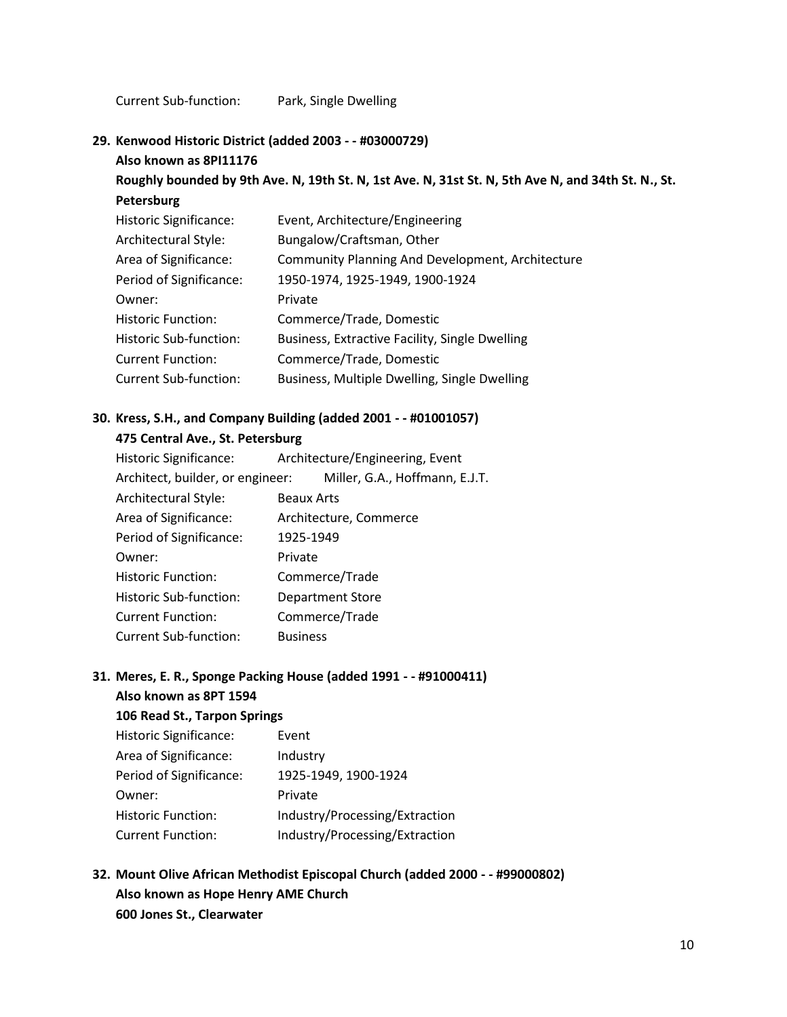Current Sub-function: Park, Single Dwelling

**29. Kenwood Historic District (added 2003 - - #03000729)** 

**Also known as 8PI11176** 

## **Roughly bounded by 9th Ave. N, 19th St. N, 1st Ave. N, 31st St. N, 5th Ave N, and 34th St. N., St. Petersburg**

| <b>Historic Significance:</b> | Event, Architecture/Engineering                         |
|-------------------------------|---------------------------------------------------------|
| Architectural Style:          | Bungalow/Craftsman, Other                               |
| Area of Significance:         | <b>Community Planning And Development, Architecture</b> |
| Period of Significance:       | 1950-1974, 1925-1949, 1900-1924                         |
| Owner:                        | Private                                                 |
| <b>Historic Function:</b>     | Commerce/Trade, Domestic                                |
| Historic Sub-function:        | Business, Extractive Facility, Single Dwelling          |
| <b>Current Function:</b>      | Commerce/Trade, Domestic                                |
| <b>Current Sub-function:</b>  | Business, Multiple Dwelling, Single Dwelling            |

#### **30. Kress, S.H., and Company Building (added 2001 - - #01001057)**

**475 Central Ave., St. Petersburg**

| Historic Significance:           | Architecture/Engineering, Event |
|----------------------------------|---------------------------------|
| Architect, builder, or engineer: | Miller, G.A., Hoffmann, E.J.T.  |
| Architectural Style:             | <b>Beaux Arts</b>               |
| Area of Significance:            | Architecture, Commerce          |
| Period of Significance:          | 1925-1949                       |
| Owner:                           | Private                         |
| <b>Historic Function:</b>        | Commerce/Trade                  |
| Historic Sub-function:           | <b>Department Store</b>         |
| <b>Current Function:</b>         | Commerce/Trade                  |
| <b>Current Sub-function:</b>     | <b>Business</b>                 |

## **31. Meres, E. R., Sponge Packing House (added 1991 - - #91000411)**

## **Also known as 8PT 1594**

## **106 Read St., Tarpon Springs**

| <b>Historic Significance:</b> | Event                          |
|-------------------------------|--------------------------------|
| Area of Significance:         | Industry                       |
| Period of Significance:       | 1925-1949, 1900-1924           |
| Owner:                        | Private                        |
| <b>Historic Function:</b>     | Industry/Processing/Extraction |
| <b>Current Function:</b>      | Industry/Processing/Extraction |

**32. Mount Olive African Methodist Episcopal Church (added 2000 - - #99000802) Also known as Hope Henry AME Church 600 Jones St., Clearwater**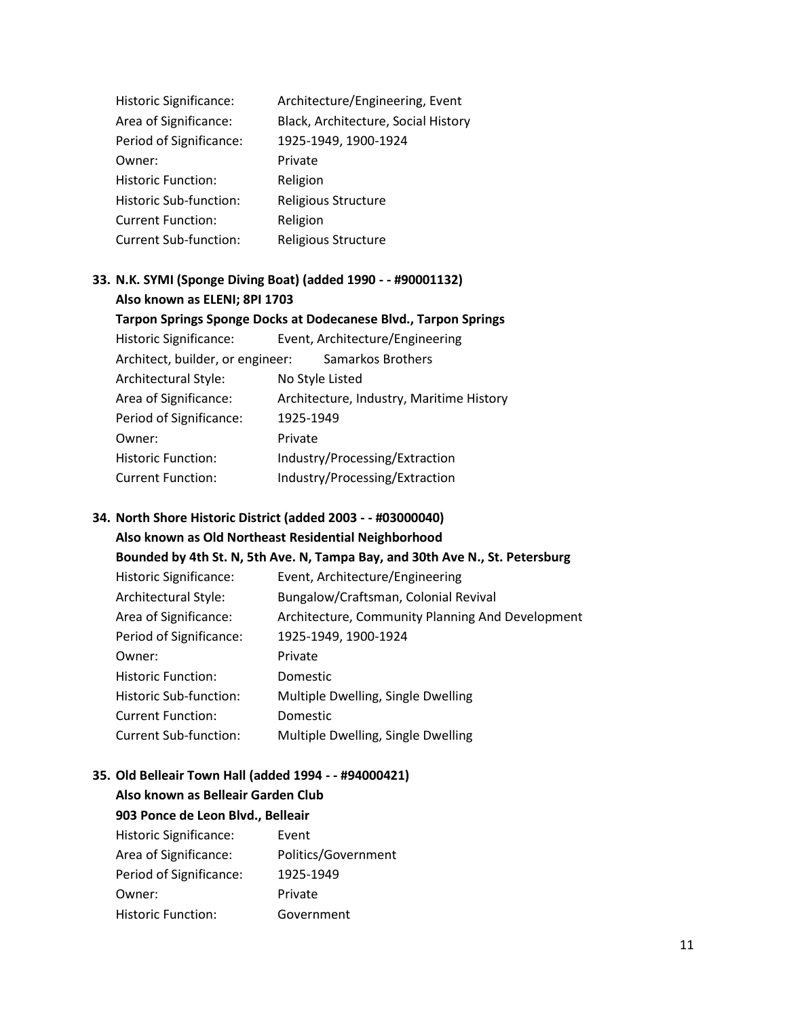| <b>Historic Significance:</b> | Architecture/Engineering, Event     |
|-------------------------------|-------------------------------------|
| Area of Significance:         | Black, Architecture, Social History |
| Period of Significance:       | 1925-1949, 1900-1924                |
| Owner:                        | Private                             |
| <b>Historic Function:</b>     | Religion                            |
| Historic Sub-function:        | Religious Structure                 |
| <b>Current Function:</b>      | Religion                            |
| <b>Current Sub-function:</b>  | Religious Structure                 |

#### **33. N.K. SYMI (Sponge Diving Boat) (added 1990 - - #90001132) Also known as ELENI; 8PI 1703**

**Tarpon Springs Sponge Docks at Dodecanese Blvd., Tarpon Springs** Historic Significance: Event, Architecture/Engineering Architect, builder, or engineer: Samarkos Brothers Architectural Style: No Style Listed Area of Significance: Architecture, Industry, Maritime History Period of Significance: 1925-1949 Owner: Private Historic Function: Industry/Processing/Extraction Current Function: Industry/Processing/Extraction

#### **34. North Shore Historic District (added 2003 - - #03000040)**

**Also known as Old Northeast Residential Neighborhood Bounded by 4th St. N, 5th Ave. N, Tampa Bay, and 30th Ave N., St. Petersburg**

| <b>Historic Significance:</b> | Event, Architecture/Engineering                  |
|-------------------------------|--------------------------------------------------|
| Architectural Style:          | Bungalow/Craftsman, Colonial Revival             |
| Area of Significance:         | Architecture, Community Planning And Development |
| Period of Significance:       | 1925-1949, 1900-1924                             |
| Owner:                        | Private                                          |
| <b>Historic Function:</b>     | Domestic                                         |
| Historic Sub-function:        | Multiple Dwelling, Single Dwelling               |
| <b>Current Function:</b>      | Domestic                                         |
| <b>Current Sub-function:</b>  | Multiple Dwelling, Single Dwelling               |

#### **35. Old Belleair Town Hall (added 1994 - - #94000421)**

**Also known as Belleair Garden Club 903 Ponce de Leon Blvd., Belleair** Historic Significance: Event Area of Significance: Politics/Government Period of Significance: 1925-1949 Owner: Private Historic Function: Government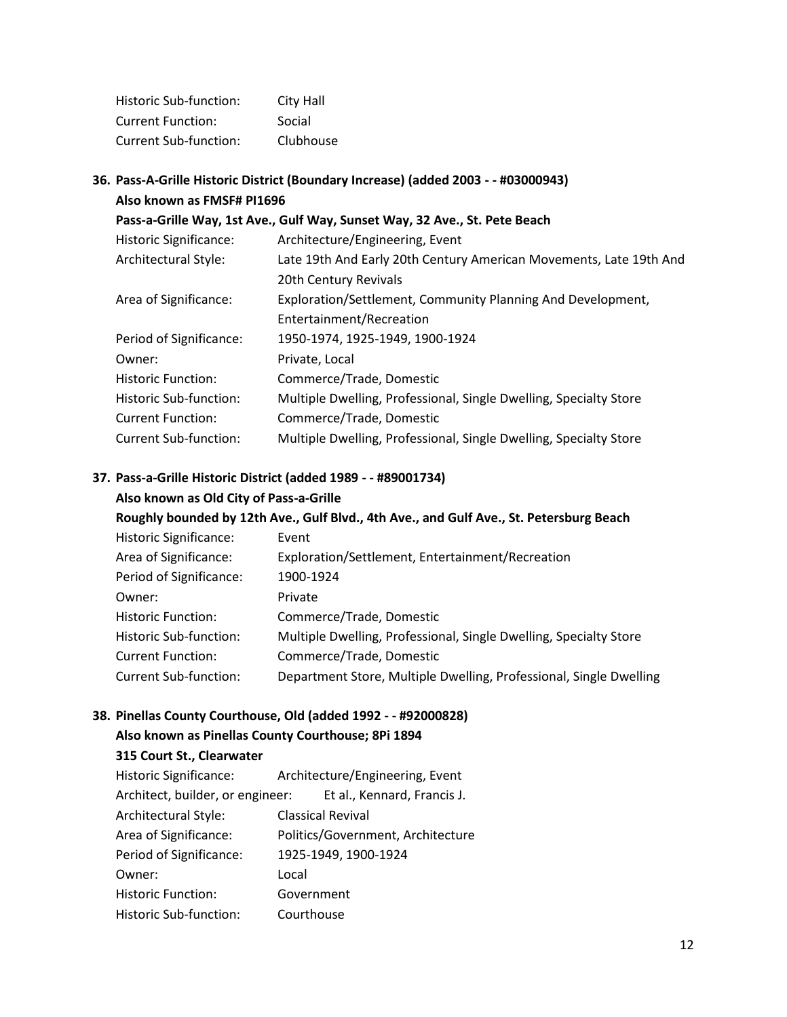| Historic Sub-function:   | City Hall |
|--------------------------|-----------|
| <b>Current Function:</b> | Social    |
| Current Sub-function:    | Clubhouse |

|  | 36. Pass-A-Grille Historic District (Boundary Increase) (added 2003 - - #03000943)<br>Also known as FMSF# PI1696 |                                                                                             |
|--|------------------------------------------------------------------------------------------------------------------|---------------------------------------------------------------------------------------------|
|  |                                                                                                                  |                                                                                             |
|  |                                                                                                                  | Pass-a-Grille Way, 1st Ave., Gulf Way, Sunset Way, 32 Ave., St. Pete Beach                  |
|  | <b>Historic Significance:</b>                                                                                    | Architecture/Engineering, Event                                                             |
|  | Architectural Style:                                                                                             | Late 19th And Early 20th Century American Movements, Late 19th And<br>20th Century Revivals |
|  | Area of Significance:                                                                                            | Exploration/Settlement, Community Planning And Development,<br>Entertainment/Recreation     |
|  | Period of Significance:                                                                                          | 1950-1974, 1925-1949, 1900-1924                                                             |
|  | Owner:                                                                                                           | Private, Local                                                                              |
|  | <b>Historic Function:</b>                                                                                        | Commerce/Trade, Domestic                                                                    |
|  | Historic Sub-function:                                                                                           | Multiple Dwelling, Professional, Single Dwelling, Specialty Store                           |
|  | <b>Current Function:</b>                                                                                         | Commerce/Trade, Domestic                                                                    |
|  | <b>Current Sub-function:</b>                                                                                     | Multiple Dwelling, Professional, Single Dwelling, Specialty Store                           |
|  |                                                                                                                  |                                                                                             |

#### **37. Pass-a-Grille Historic District (added 1989 - - #89001734)**

## **Also known as Old City of Pass-a-Grille**

**Roughly bounded by 12th Ave., Gulf Blvd., 4th Ave., and Gulf Ave., St. Petersburg Beach**

| Event                                                              |
|--------------------------------------------------------------------|
| Exploration/Settlement, Entertainment/Recreation                   |
| 1900-1924                                                          |
| Private                                                            |
| Commerce/Trade, Domestic                                           |
| Multiple Dwelling, Professional, Single Dwelling, Specialty Store  |
| Commerce/Trade, Domestic                                           |
| Department Store, Multiple Dwelling, Professional, Single Dwelling |
|                                                                    |

## **38. Pinellas County Courthouse, Old (added 1992 - - #92000828)**

## **Also known as Pinellas County Courthouse; 8Pi 1894**

#### **315 Court St., Clearwater**

| <b>Historic Significance:</b>    | Architecture/Engineering, Event   |
|----------------------------------|-----------------------------------|
| Architect, builder, or engineer: | Et al., Kennard, Francis J.       |
| Architectural Style:             | <b>Classical Revival</b>          |
| Area of Significance:            | Politics/Government, Architecture |
| Period of Significance:          | 1925-1949, 1900-1924              |
| Owner:                           | Local                             |
| <b>Historic Function:</b>        | Government                        |
| Historic Sub-function:           | Courthouse                        |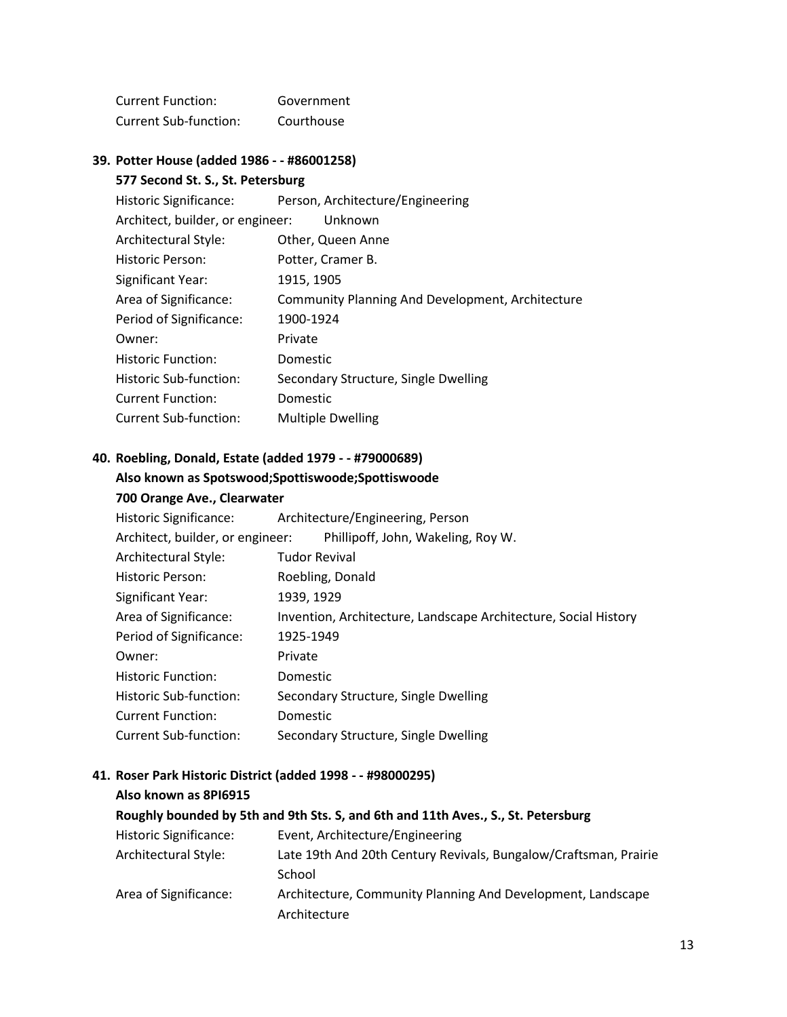| Current Function:     | Government |
|-----------------------|------------|
| Current Sub-function: | Courthouse |

#### **39. Potter House (added 1986 - - #86001258)**

#### **577 Second St. S., St. Petersburg**

| Historic Significance:           | Person, Architecture/Engineering                        |
|----------------------------------|---------------------------------------------------------|
| Architect, builder, or engineer: | Unknown                                                 |
| Architectural Style:             | Other, Queen Anne                                       |
| <b>Historic Person:</b>          | Potter, Cramer B.                                       |
| Significant Year:                | 1915, 1905                                              |
| Area of Significance:            | <b>Community Planning And Development, Architecture</b> |
| Period of Significance:          | 1900-1924                                               |
| Owner:                           | Private                                                 |
| <b>Historic Function:</b>        | Domestic                                                |
| Historic Sub-function:           | Secondary Structure, Single Dwelling                    |
| <b>Current Function:</b>         | Domestic                                                |
| Current Sub-function:            | <b>Multiple Dwelling</b>                                |

### **40. Roebling, Donald, Estate (added 1979 - - #79000689)**

# **Also known as Spotswood;Spottiswoode;Spottiswoode**

| 700 Orange Ave., Clearwater |  |
|-----------------------------|--|
|-----------------------------|--|

| Historic Significance:           | Architecture/Engineering, Person                                |
|----------------------------------|-----------------------------------------------------------------|
| Architect, builder, or engineer: | Phillipoff, John, Wakeling, Roy W.                              |
| Architectural Style:             | <b>Tudor Revival</b>                                            |
| <b>Historic Person:</b>          | Roebling, Donald                                                |
| <b>Significant Year:</b>         | 1939, 1929                                                      |
| Area of Significance:            | Invention, Architecture, Landscape Architecture, Social History |
| Period of Significance:          | 1925-1949                                                       |
| Owner:                           | Private                                                         |
| <b>Historic Function:</b>        | Domestic                                                        |
| Historic Sub-function:           | Secondary Structure, Single Dwelling                            |
| <b>Current Function:</b>         | Domestic                                                        |
| <b>Current Sub-function:</b>     | Secondary Structure, Single Dwelling                            |

# **41. Roser Park Historic District (added 1998 - - #98000295)**

| Also known as 8PI6915                                                             |                                                                  |  |  |
|-----------------------------------------------------------------------------------|------------------------------------------------------------------|--|--|
| Roughly bounded by 5th and 9th Sts. S, and 6th and 11th Aves., S., St. Petersburg |                                                                  |  |  |
| <b>Historic Significance:</b>                                                     | Event, Architecture/Engineering                                  |  |  |
| Architectural Style:                                                              | Late 19th And 20th Century Revivals, Bungalow/Craftsman, Prairie |  |  |
|                                                                                   | School                                                           |  |  |
| Area of Significance:                                                             | Architecture, Community Planning And Development, Landscape      |  |  |
|                                                                                   | Architecture                                                     |  |  |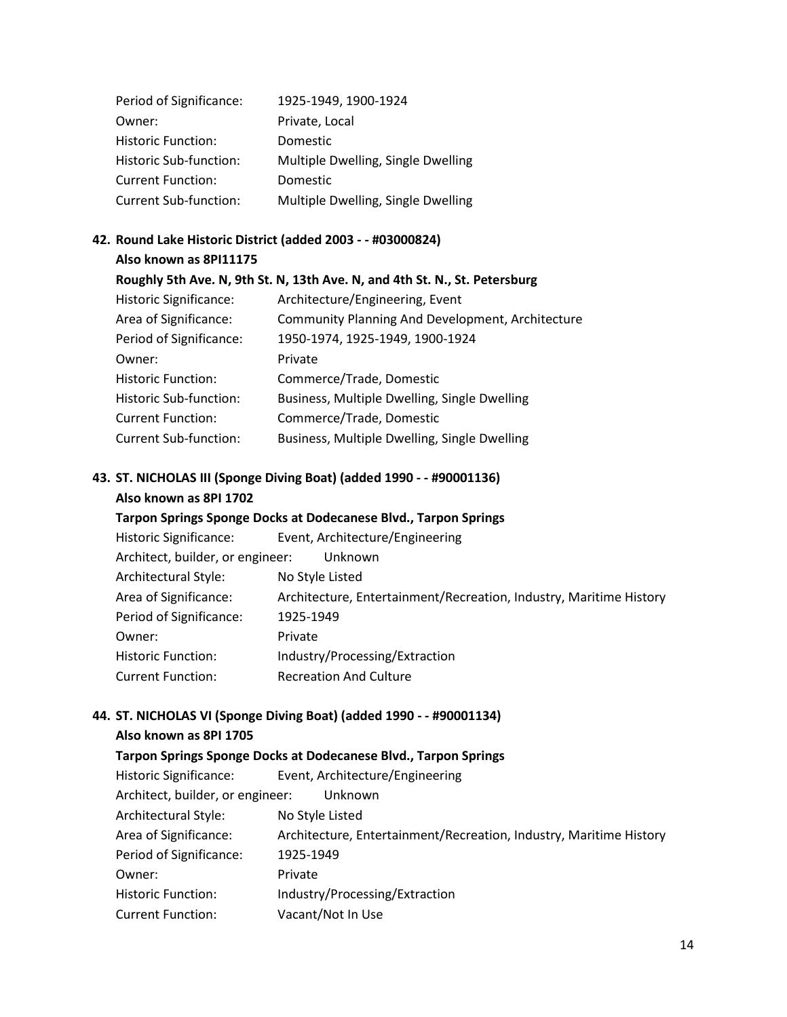| Period of Significance:   | 1925-1949, 1900-1924               |
|---------------------------|------------------------------------|
| Owner:                    | Private, Local                     |
| <b>Historic Function:</b> | Domestic                           |
| Historic Sub-function:    | Multiple Dwelling, Single Dwelling |
| <b>Current Function:</b>  | Domestic                           |
| Current Sub-function:     | Multiple Dwelling, Single Dwelling |

## **42. Round Lake Historic District (added 2003 - - #03000824)**

**Also known as 8PI11175** 

#### **Roughly 5th Ave. N, 9th St. N, 13th Ave. N, and 4th St. N., St. Petersburg**

| <b>Historic Significance:</b> | Architecture/Engineering, Event                         |
|-------------------------------|---------------------------------------------------------|
| Area of Significance:         | <b>Community Planning And Development, Architecture</b> |
| Period of Significance:       | 1950-1974, 1925-1949, 1900-1924                         |
| Owner:                        | Private                                                 |
| <b>Historic Function:</b>     | Commerce/Trade, Domestic                                |
| Historic Sub-function:        | Business, Multiple Dwelling, Single Dwelling            |
| <b>Current Function:</b>      | Commerce/Trade, Domestic                                |
| <b>Current Sub-function:</b>  | Business, Multiple Dwelling, Single Dwelling            |
|                               |                                                         |

## **43. ST. NICHOLAS III (Sponge Diving Boat) (added 1990 - - #90001136)**

#### **Also known as 8PI 1702**

#### **Tarpon Springs Sponge Docks at Dodecanese Blvd., Tarpon Springs**

| Historic Significance:           | Event, Architecture/Engineering                                    |
|----------------------------------|--------------------------------------------------------------------|
| Architect, builder, or engineer: | Unknown                                                            |
| Architectural Style:             | No Style Listed                                                    |
| Area of Significance:            | Architecture, Entertainment/Recreation, Industry, Maritime History |
| Period of Significance:          | 1925-1949                                                          |
| Owner:                           | Private                                                            |
| <b>Historic Function:</b>        | Industry/Processing/Extraction                                     |
| <b>Current Function:</b>         | <b>Recreation And Culture</b>                                      |

#### **44. ST. NICHOLAS VI (Sponge Diving Boat) (added 1990 - - #90001134)**

#### **Also known as 8PI 1705**

| Tarpon Springs Sponge Docks at Dodecanese Blvd., Tarpon Springs |                                                                    |  |
|-----------------------------------------------------------------|--------------------------------------------------------------------|--|
| Historic Significance:                                          | Event, Architecture/Engineering                                    |  |
| Architect, builder, or engineer:                                | Unknown                                                            |  |
| Architectural Style:                                            | No Style Listed                                                    |  |
| Area of Significance:                                           | Architecture, Entertainment/Recreation, Industry, Maritime History |  |
| Period of Significance:                                         | 1925-1949                                                          |  |
| Owner:                                                          | Private                                                            |  |
| <b>Historic Function:</b>                                       | Industry/Processing/Extraction                                     |  |
| <b>Current Function:</b>                                        | Vacant/Not In Use                                                  |  |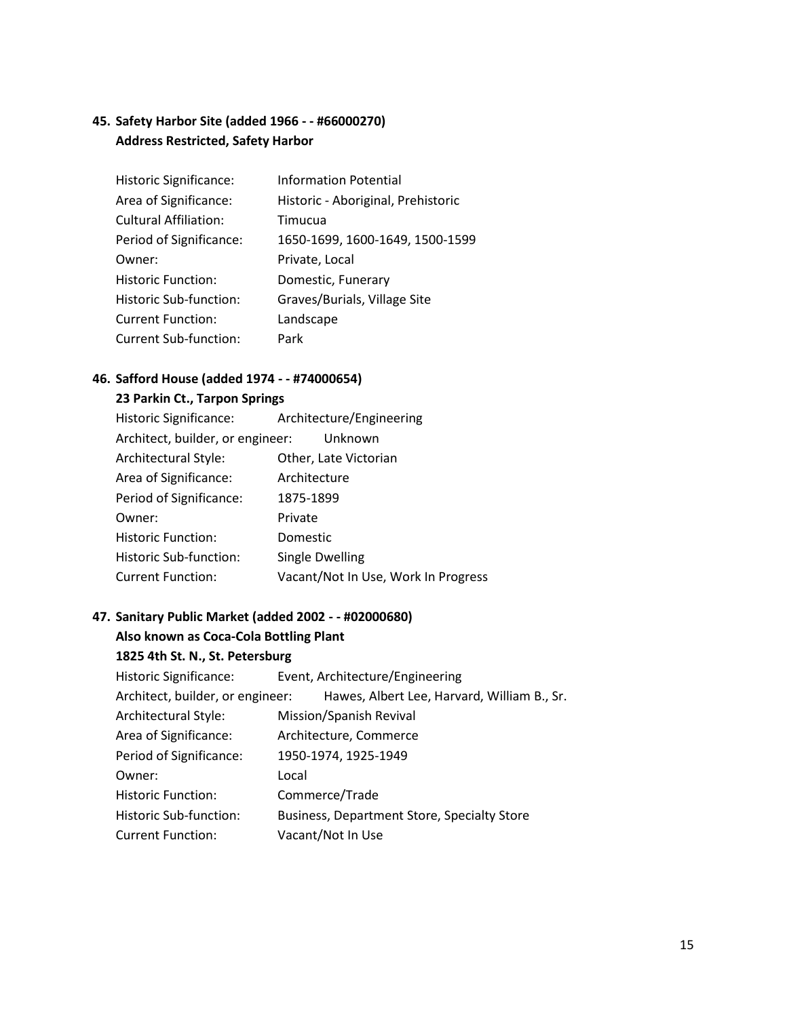## **45. Safety Harbor Site (added 1966 - - #66000270) Address Restricted, Safety Harbor**

| Historic Significance:       | <b>Information Potential</b>       |
|------------------------------|------------------------------------|
| Area of Significance:        | Historic - Aboriginal, Prehistoric |
| <b>Cultural Affiliation:</b> | Timucua                            |
| Period of Significance:      | 1650-1699, 1600-1649, 1500-1599    |
| Owner:                       | Private, Local                     |
| <b>Historic Function:</b>    | Domestic, Funerary                 |
| Historic Sub-function:       | Graves/Burials, Village Site       |
| <b>Current Function:</b>     | Landscape                          |
| <b>Current Sub-function:</b> | Park                               |

#### **46. Safford House (added 1974 - - #74000654)**

#### **23 Parkin Ct., Tarpon Springs**

| <b>Historic Significance:</b>    | Architecture/Engineering            |
|----------------------------------|-------------------------------------|
| Architect, builder, or engineer: | Unknown                             |
| Architectural Style:             | Other, Late Victorian               |
| Area of Significance:            | Architecture                        |
| Period of Significance:          | 1875-1899                           |
| Owner:                           | Private                             |
| <b>Historic Function:</b>        | Domestic                            |
| Historic Sub-function:           | <b>Single Dwelling</b>              |
| <b>Current Function:</b>         | Vacant/Not In Use, Work In Progress |

#### **47. Sanitary Public Market (added 2002 - - #02000680)**

#### **Also known as Coca-Cola Bottling Plant**

#### **1825 4th St. N., St. Petersburg**

Historic Significance: Event, Architecture/Engineering Architect, builder, or engineer: Hawes, Albert Lee, Harvard, William B., Sr. Architectural Style: Mission/Spanish Revival Area of Significance: Architecture, Commerce Period of Significance: 1950-1974, 1925-1949 Owner: Local Historic Function: Commerce/Trade Historic Sub-function: Business, Department Store, Specialty Store Current Function: Vacant/Not In Use